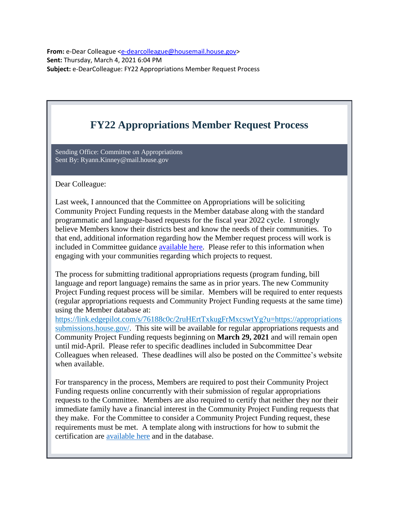**From:** e-Dear Colleague [<e-dearcolleague@housemail.house.gov>](mailto:e-dearcolleague@housemail.house.gov) **Sent:** Thursday, March 4, 2021 6:04 PM **Subject:** e-DearColleague: FY22 Appropriations Member Request Process

## **FY22 Appropriations Member Request Process**

Sending Office: Committee on Appropriations Sent By: [Ryann.Kinney@mail.house.gov](mailto:%20Ryann.Kinney@mail.house.gov)

Dear Colleague:

Last week, I announced that the Committee on Appropriations will be soliciting Community Project Funding requests in the Member database along with the standard programmatic and language-based requests for the fiscal year 2022 cycle. I strongly believe Members know their districts best and know the needs of their communities. To that end, additional information regarding how the Member request process will work is included in Committee guidance [available here.](https://nam12.safelinks.protection.outlook.com/?url=https%3A%2F%2Flink.edgepilot.com%2Fs%2Fc1f9ca2c%2FY3cGsyLfx0i2_nFlE2G5kQ%3Fu%3Dhttps%3A%2F%2Fappropriations.house.gov%2Fsites%2Fdemocrats.appropriations.house.gov%2Ffiles%2Fdocuments%2FGuidance%252520on%252520Community%252520Project%252520Funding.pdf&data=04%7C01%7Cfranzw%40bipartisanpolicy.org%7C6a372905f61147f2240d08d8dff49c3a%7Cded18c87778b4b98962e994cc2278437%7C0%7C1%7C637505589000308811%7CUnknown%7CTWFpbGZsb3d8eyJWIjoiMC4wLjAwMDAiLCJQIjoiV2luMzIiLCJBTiI6Ik1haWwiLCJXVCI6Mn0%3D%7C2000&sdata=rKYNk8QPlQtRFsXbwUSI1vVYWBlCHeBCN8OKAQwetbk%3D&reserved=0) Please refer to this information when engaging with your communities regarding which projects to request.

The process for submitting traditional appropriations requests (program funding, bill language and report language) remains the same as in prior years. The new Community Project Funding request process will be similar. Members will be required to enter requests (regular appropriations requests and Community Project Funding requests at the same time) using the Member database at:

[https://link.edgepilot.com/s/76188c0c/2ruHErtTxkugFrMxcswtYg?u=https://appropriations](https://nam12.safelinks.protection.outlook.com/?url=https%3A%2F%2Flink.edgepilot.com%2Fs%2F76188c0c%2F2ruHErtTxkugFrMxcswtYg%3Fu%3Dhttps%3A%2F%2Fappropriationssubmissions.house.gov%2F&data=04%7C01%7Cfranzw%40bipartisanpolicy.org%7C6a372905f61147f2240d08d8dff49c3a%7Cded18c87778b4b98962e994cc2278437%7C0%7C1%7C637505589000318810%7CUnknown%7CTWFpbGZsb3d8eyJWIjoiMC4wLjAwMDAiLCJQIjoiV2luMzIiLCJBTiI6Ik1haWwiLCJXVCI6Mn0%3D%7C2000&sdata=Nlf6cD1Gz4vmklXpsuNWAOX0wbYgUeZM74SrZZZatoE%3D&reserved=0) [submissions.house.gov/.](https://nam12.safelinks.protection.outlook.com/?url=https%3A%2F%2Flink.edgepilot.com%2Fs%2F76188c0c%2F2ruHErtTxkugFrMxcswtYg%3Fu%3Dhttps%3A%2F%2Fappropriationssubmissions.house.gov%2F&data=04%7C01%7Cfranzw%40bipartisanpolicy.org%7C6a372905f61147f2240d08d8dff49c3a%7Cded18c87778b4b98962e994cc2278437%7C0%7C1%7C637505589000318810%7CUnknown%7CTWFpbGZsb3d8eyJWIjoiMC4wLjAwMDAiLCJQIjoiV2luMzIiLCJBTiI6Ik1haWwiLCJXVCI6Mn0%3D%7C2000&sdata=Nlf6cD1Gz4vmklXpsuNWAOX0wbYgUeZM74SrZZZatoE%3D&reserved=0) This site will be available for regular appropriations requests and Community Project Funding requests beginning on **March 29, 2021** and will remain open until mid-April. Please refer to specific deadlines included in Subcommittee Dear Colleagues when released. These deadlines will also be posted on the Committee's website when available.

For transparency in the process, Members are required to post their Community Project Funding requests online concurrently with their submission of regular appropriations requests to the Committee. Members are also required to certify that neither they nor their immediate family have a financial interest in the Community Project Funding requests that they make. For the Committee to consider a Community Project Funding request, these requirements must be met. A template along with instructions for how to submit the certification are [available here](https://nam12.safelinks.protection.outlook.com/?url=https%3A%2F%2Flink.edgepilot.com%2Fs%2F0e8ab4d1%2FMTfYE-eyG02lpBNbBbJ4yw%3Fu%3Dhttps%3A%2F%2Fappropriations.house.gov%2Fsites%2Fdemocrats.appropriations.house.gov%2Ffiles%2Fdocuments%2FDirections%252520for%252520Member%252520Certifications.pdf&data=04%7C01%7Cfranzw%40bipartisanpolicy.org%7C6a372905f61147f2240d08d8dff49c3a%7Cded18c87778b4b98962e994cc2278437%7C0%7C1%7C637505589000328802%7CUnknown%7CTWFpbGZsb3d8eyJWIjoiMC4wLjAwMDAiLCJQIjoiV2luMzIiLCJBTiI6Ik1haWwiLCJXVCI6Mn0%3D%7C2000&sdata=seoSpRvbL9eT%2Bx90L1mxGuKMatX%2Bkr1QHxb58akvfYc%3D&reserved=0) and in the database.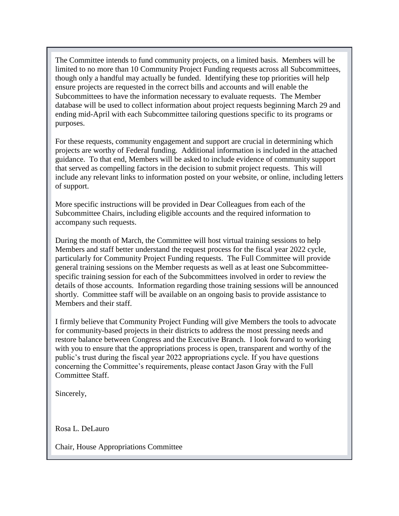The Committee intends to fund community projects, on a limited basis. Members will be limited to no more than 10 Community Project Funding requests across all Subcommittees, though only a handful may actually be funded. Identifying these top priorities will help ensure projects are requested in the correct bills and accounts and will enable the Subcommittees to have the information necessary to evaluate requests. The Member database will be used to collect information about project requests beginning March 29 and ending mid-April with each Subcommittee tailoring questions specific to its programs or purposes.

For these requests, community engagement and support are crucial in determining which projects are worthy of Federal funding. Additional information is included in the attached guidance. To that end, Members will be asked to include evidence of community support that served as compelling factors in the decision to submit project requests. This will include any relevant links to information posted on your website, or online, including letters of support.

More specific instructions will be provided in Dear Colleagues from each of the Subcommittee Chairs, including eligible accounts and the required information to accompany such requests.

During the month of March, the Committee will host virtual training sessions to help Members and staff better understand the request process for the fiscal year 2022 cycle, particularly for Community Project Funding requests. The Full Committee will provide general training sessions on the Member requests as well as at least one Subcommitteespecific training session for each of the Subcommittees involved in order to review the details of those accounts. Information regarding those training sessions will be announced shortly. Committee staff will be available on an ongoing basis to provide assistance to Members and their staff.

I firmly believe that Community Project Funding will give Members the tools to advocate for community-based projects in their districts to address the most pressing needs and restore balance between Congress and the Executive Branch. I look forward to working with you to ensure that the appropriations process is open, transparent and worthy of the public's trust during the fiscal year 2022 appropriations cycle. If you have questions concerning the Committee's requirements, please contact Jason Gray with the Full Committee Staff.

Sincerely,

Rosa L. DeLauro

Chair, House Appropriations Committee